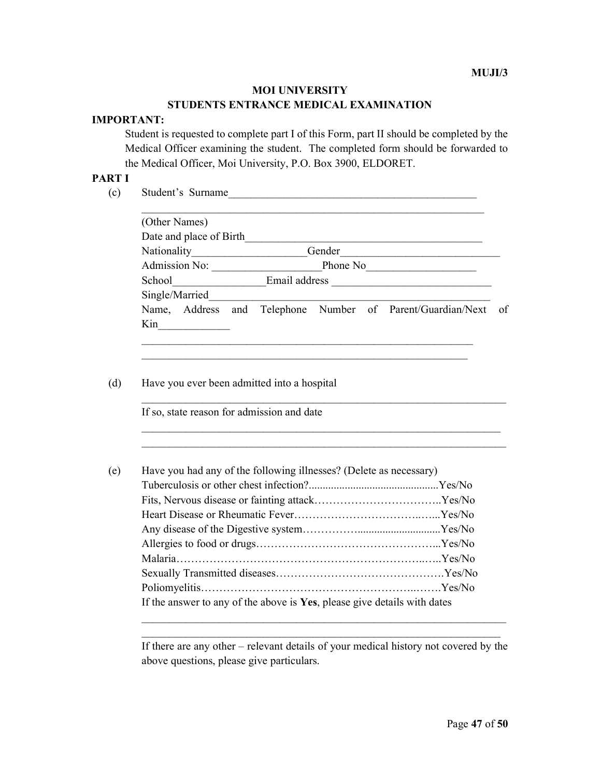#### MOI UNIVERSITY

# STUDENTS ENTRANCE MEDICAL EXAMINATION

# IMPORTANT:

Student is requested to complete part I of this Form, part II should be completed by the Medical Officer examining the student. The completed form should be forwarded to the Medical Officer, Moi University, P.O. Box 3900, ELDORET.

### PART I

(c) Student's Surname\_\_\_\_\_\_\_\_\_\_\_\_\_\_\_\_\_\_\_\_\_\_\_\_\_\_\_\_\_\_\_\_\_\_\_\_\_\_\_\_\_\_\_\_\_

| (Other Names)           |                                                            |    |
|-------------------------|------------------------------------------------------------|----|
| Date and place of Birth |                                                            |    |
| Nationality             | Gender                                                     |    |
| <b>Admission No:</b>    | Phone No                                                   |    |
| School                  | Email address                                              |    |
| Single/Married          |                                                            |    |
|                         | Name, Address and Telephone Number of Parent/Guardian/Next | of |
| Kin                     |                                                            |    |

 $\_$  , and the set of the set of the set of the set of the set of the set of the set of the set of the set of the set of the set of the set of the set of the set of the set of the set of the set of the set of the set of th

 $\mathcal{L}_\text{max} = \frac{1}{2} \sum_{i=1}^n \mathcal{L}_\text{max}(\mathbf{z}_i - \mathbf{z}_i)$  $\mathcal{L}_\text{max} = \frac{1}{2} \sum_{i=1}^n \mathcal{L}_\text{max}(\mathbf{z}_i - \mathbf{z}_i)$ 

 $\mathcal{L}_\text{max}$  and the contract of the contract of the contract of the contract of the contract of the contract of

#### (d) Have you ever been admitted into a hospital

If so, state reason for admission and date

| (e) | Have you had any of the following illnesses? (Delete as necessary)       |  |
|-----|--------------------------------------------------------------------------|--|
|     |                                                                          |  |
|     |                                                                          |  |
|     |                                                                          |  |
|     |                                                                          |  |
|     |                                                                          |  |
|     |                                                                          |  |
|     |                                                                          |  |
|     |                                                                          |  |
|     | If the answer to any of the above is Yes, please give details with dates |  |
|     |                                                                          |  |

If there are any other – relevant details of your medical history not covered by the above questions, please give particulars.

 $\mathcal{L}_\text{max} = \frac{1}{2} \sum_{i=1}^n \mathcal{L}_\text{max}(\mathbf{z}_i - \mathbf{z}_i)$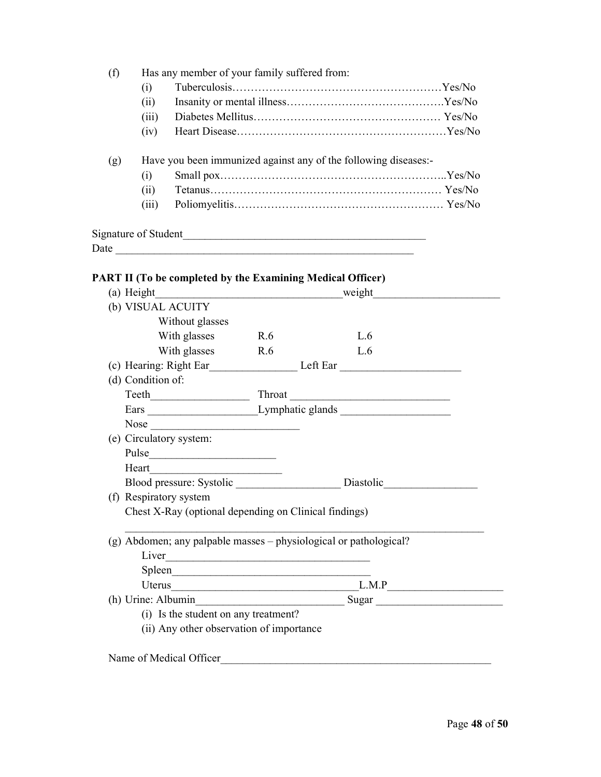|     | (i)   |                                                                 |  |
|-----|-------|-----------------------------------------------------------------|--|
|     | (i)   |                                                                 |  |
|     | (iii) |                                                                 |  |
|     | (iv)  |                                                                 |  |
| (g) |       | Have you been immunized against any of the following diseases:- |  |
|     | (i)   |                                                                 |  |
|     | (i)   |                                                                 |  |

| $\overline{\phantom{a}}$<br>Daw |  |  |
|---------------------------------|--|--|

# PART II (To be completed by the Examining Medical Officer)

| (a) Height                                                        |     | weight                                                                                                                                                                                                                         |  |
|-------------------------------------------------------------------|-----|--------------------------------------------------------------------------------------------------------------------------------------------------------------------------------------------------------------------------------|--|
| (b) VISUAL ACUITY                                                 |     |                                                                                                                                                                                                                                |  |
| Without glasses                                                   |     |                                                                                                                                                                                                                                |  |
| With glasses                                                      | R.6 | L.6                                                                                                                                                                                                                            |  |
| With glasses                                                      | R.6 | L.6                                                                                                                                                                                                                            |  |
|                                                                   |     | (c) Hearing: Right Ear Left Ear Left Ear Left Ear Left Ear Left Ear Left Ear Left Ear Left Ear Left Ear Left Ear Left Ear Left Ear Left Ear Left Ear Left Ear Left Ear Left Ear Left Ear Left Ear Left Ear Left Ear Left Ear L |  |
| (d) Condition of:                                                 |     |                                                                                                                                                                                                                                |  |
|                                                                   |     |                                                                                                                                                                                                                                |  |
|                                                                   |     |                                                                                                                                                                                                                                |  |
|                                                                   |     |                                                                                                                                                                                                                                |  |
| (e) Circulatory system:                                           |     |                                                                                                                                                                                                                                |  |
|                                                                   |     |                                                                                                                                                                                                                                |  |
| Heart $\qquad \qquad \qquad$                                      |     |                                                                                                                                                                                                                                |  |
|                                                                   |     | Blood pressure: Systolic ________________________ Diastolic_____________________                                                                                                                                               |  |
| (f) Respiratory system                                            |     |                                                                                                                                                                                                                                |  |
| Chest X-Ray (optional depending on Clinical findings)             |     |                                                                                                                                                                                                                                |  |
| (g) Abdomen; any palpable masses – physiological or pathological? |     |                                                                                                                                                                                                                                |  |
|                                                                   |     |                                                                                                                                                                                                                                |  |
| Spleen                                                            |     |                                                                                                                                                                                                                                |  |
|                                                                   |     |                                                                                                                                                                                                                                |  |
|                                                                   |     |                                                                                                                                                                                                                                |  |
| (i) Is the student on any treatment?                              |     |                                                                                                                                                                                                                                |  |
| (ii) Any other observation of importance                          |     |                                                                                                                                                                                                                                |  |
| Name of Medical Officer                                           |     |                                                                                                                                                                                                                                |  |
|                                                                   |     |                                                                                                                                                                                                                                |  |